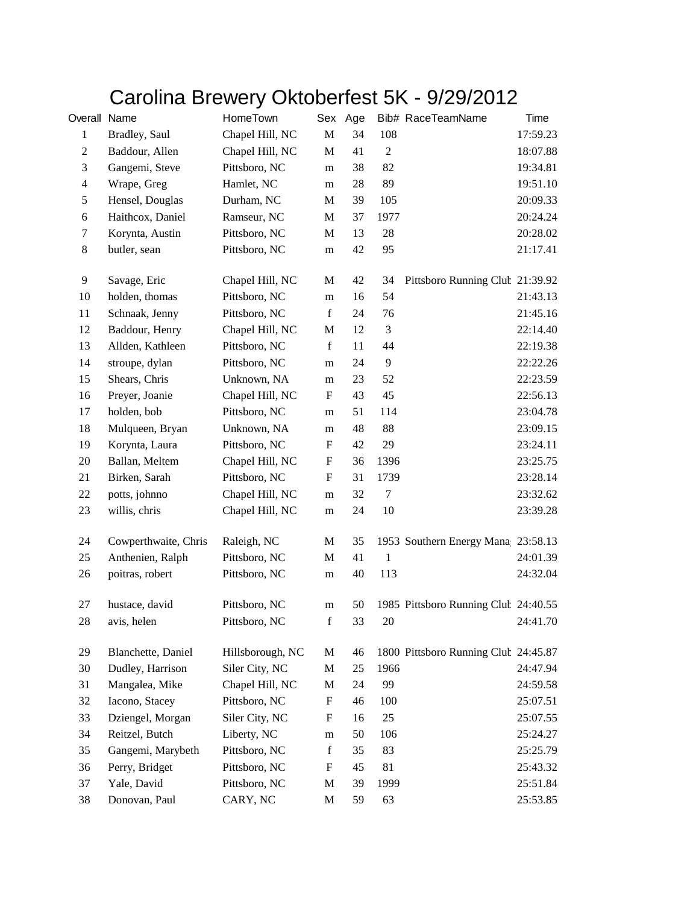## Carolina Brewery Oktoberfest 5K - 9/29/2012

| Overall Name                |                      | HomeTown         |                           | Sex Age |                | Bib# RaceTeamName                    | Time     |
|-----------------------------|----------------------|------------------|---------------------------|---------|----------------|--------------------------------------|----------|
| $\mathbf{1}$                | Bradley, Saul        | Chapel Hill, NC  | $\mathbf M$               | 34      | 108            |                                      | 17:59.23 |
| $\mathfrak{2}$              | Baddour, Allen       | Chapel Hill, NC  | $\mathbf M$               | 41      | $\sqrt{2}$     |                                      | 18:07.88 |
| $\ensuremath{\mathfrak{Z}}$ | Gangemi, Steve       | Pittsboro, NC    | m                         | 38      | 82             |                                      | 19:34.81 |
| $\overline{4}$              | Wrape, Greg          | Hamlet, NC       | m                         | 28      | 89             |                                      | 19:51.10 |
| $\sqrt{5}$                  | Hensel, Douglas      | Durham, NC       | M                         | 39      | 105            |                                      | 20:09.33 |
| 6                           | Haithcox, Daniel     | Ramseur, NC      | M                         | 37      | 1977           |                                      | 20:24.24 |
| $\tau$                      | Korynta, Austin      | Pittsboro, NC    | M                         | 13      | 28             |                                      | 20:28.02 |
| $8\,$                       | butler, sean         | Pittsboro, NC    | m                         | 42      | 95             |                                      | 21:17.41 |
| 9                           | Savage, Eric         | Chapel Hill, NC  | M                         | 42      | 34             | Pittsboro Running Club 21:39.92      |          |
| 10                          | holden, thomas       | Pittsboro, NC    | m                         | 16      | 54             |                                      | 21:43.13 |
| 11                          | Schnaak, Jenny       | Pittsboro, NC    | $\mathbf f$               | 24      | 76             |                                      | 21:45.16 |
| 12                          | Baddour, Henry       | Chapel Hill, NC  | M                         | 12      | 3              |                                      | 22:14.40 |
| 13                          | Allden, Kathleen     | Pittsboro, NC    | $\mathbf f$               | 11      | 44             |                                      | 22:19.38 |
| 14                          | stroupe, dylan       | Pittsboro, NC    | m                         | 24      | $\overline{9}$ |                                      | 22:22.26 |
| 15                          | Shears, Chris        | Unknown, NA      | m                         | 23      | 52             |                                      | 22:23.59 |
| 16                          | Preyer, Joanie       | Chapel Hill, NC  | ${\bf F}$                 | 43      | 45             |                                      | 22:56.13 |
| 17                          | holden, bob          | Pittsboro, NC    | m                         | 51      | 114            |                                      | 23:04.78 |
| 18                          | Mulqueen, Bryan      | Unknown, NA      | m                         | 48      | 88             |                                      | 23:09.15 |
| 19                          | Korynta, Laura       | Pittsboro, NC    | F                         | 42      | 29             |                                      | 23:24.11 |
| 20                          | Ballan, Meltem       | Chapel Hill, NC  | F                         | 36      | 1396           |                                      | 23:25.75 |
| 21                          | Birken, Sarah        | Pittsboro, NC    | $\boldsymbol{\mathrm{F}}$ | 31      | 1739           |                                      | 23:28.14 |
| 22                          | potts, johnno        | Chapel Hill, NC  | m                         | 32      | $\tau$         |                                      | 23:32.62 |
| 23                          | willis, chris        | Chapel Hill, NC  | m                         | 24      | 10             |                                      | 23:39.28 |
| 24                          | Cowperthwaite, Chris | Raleigh, NC      | M                         | 35      |                | 1953 Southern Energy Mana 23:58.13   |          |
| 25                          | Anthenien, Ralph     | Pittsboro, NC    | M                         | 41      | $\mathbf{1}$   |                                      | 24:01.39 |
| 26                          | poitras, robert      | Pittsboro, NC    | m                         | 40      | 113            |                                      | 24:32.04 |
| 27                          | hustace, david       | Pittsboro, NC    | ${\bf m}$                 | 50      |                | 1985 Pittsboro Running Club 24:40.55 |          |
| 28                          | avis, helen          | Pittsboro, NC    | $\mathbf f$               | 33      | 20             |                                      | 24:41.70 |
| 29                          | Blanchette, Daniel   | Hillsborough, NC | M                         | 46      |                | 1800 Pittsboro Running Club 24:45.87 |          |
| 30                          | Dudley, Harrison     | Siler City, NC   | $\mathbf M$               | 25      | 1966           |                                      | 24:47.94 |
| 31                          | Mangalea, Mike       | Chapel Hill, NC  | M                         | 24      | 99             |                                      | 24:59.58 |
| 32                          | Iacono, Stacey       | Pittsboro, NC    | ${\bf F}$                 | 46      | 100            |                                      | 25:07.51 |
| 33                          | Dziengel, Morgan     | Siler City, NC   | $\boldsymbol{\mathrm{F}}$ | 16      | 25             |                                      | 25:07.55 |
| 34                          | Reitzel, Butch       | Liberty, NC      | m                         | 50      | 106            |                                      | 25:24.27 |
| 35                          | Gangemi, Marybeth    | Pittsboro, NC    | $\mathbf f$               | 35      | 83             |                                      | 25:25.79 |
| 36                          | Perry, Bridget       | Pittsboro, NC    | F                         | 45      | 81             |                                      | 25:43.32 |
| 37                          | Yale, David          | Pittsboro, NC    | M                         | 39      | 1999           |                                      | 25:51.84 |
| 38                          | Donovan, Paul        | CARY, NC         | $\mathbf M$               | 59      | 63             |                                      | 25:53.85 |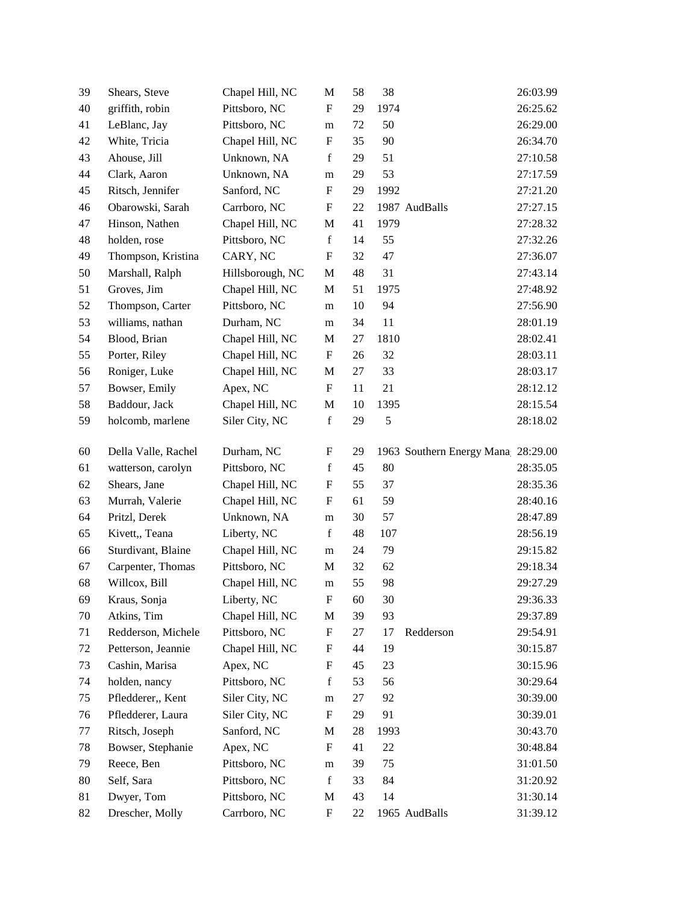| 39 | Shears, Steve       | Chapel Hill, NC  | M                         | 58     | 38   |                                    | 26:03.99 |
|----|---------------------|------------------|---------------------------|--------|------|------------------------------------|----------|
| 40 | griffith, robin     | Pittsboro, NC    | $\mathbf F$               | 29     | 1974 |                                    | 26:25.62 |
| 41 | LeBlanc, Jay        | Pittsboro, NC    | m                         | 72     | 50   |                                    | 26:29.00 |
| 42 | White, Tricia       | Chapel Hill, NC  | F                         | 35     | 90   |                                    | 26:34.70 |
| 43 | Ahouse, Jill        | Unknown, NA      | $\mathbf f$               | 29     | 51   |                                    | 27:10.58 |
| 44 | Clark, Aaron        | Unknown, NA      | m                         | 29     | 53   |                                    | 27:17.59 |
| 45 | Ritsch, Jennifer    | Sanford, NC      | F                         | 29     | 1992 |                                    | 27:21.20 |
| 46 | Obarowski, Sarah    | Carrboro, NC     | F                         | 22     |      | 1987 AudBalls                      | 27:27.15 |
| 47 | Hinson, Nathen      | Chapel Hill, NC  | M                         | 41     | 1979 |                                    | 27:28.32 |
| 48 | holden, rose        | Pittsboro, NC    | $\mathbf f$               | 14     | 55   |                                    | 27:32.26 |
| 49 | Thompson, Kristina  | CARY, NC         | $\boldsymbol{\mathrm{F}}$ | 32     | 47   |                                    | 27:36.07 |
| 50 | Marshall, Ralph     | Hillsborough, NC | M                         | 48     | 31   |                                    | 27:43.14 |
| 51 | Groves, Jim         | Chapel Hill, NC  | M                         | 51     | 1975 |                                    | 27:48.92 |
| 52 | Thompson, Carter    | Pittsboro, NC    | m                         | 10     | 94   |                                    | 27:56.90 |
| 53 | williams, nathan    | Durham, NC       | m                         | 34     | 11   |                                    | 28:01.19 |
| 54 | Blood, Brian        | Chapel Hill, NC  | M                         | 27     | 1810 |                                    | 28:02.41 |
| 55 | Porter, Riley       | Chapel Hill, NC  | F                         | 26     | 32   |                                    | 28:03.11 |
| 56 | Roniger, Luke       | Chapel Hill, NC  | M                         | 27     | 33   |                                    | 28:03.17 |
| 57 | Bowser, Emily       | Apex, NC         | F                         | 11     | 21   |                                    | 28:12.12 |
| 58 | Baddour, Jack       | Chapel Hill, NC  | M                         | 10     | 1395 |                                    | 28:15.54 |
| 59 | holcomb, marlene    | Siler City, NC   | $\mathbf f$               | 29     | 5    |                                    | 28:18.02 |
|    |                     |                  |                           |        |      |                                    |          |
| 60 | Della Valle, Rachel | Durham, NC       | F                         | 29     |      | 1963 Southern Energy Mana 28:29.00 |          |
| 61 | watterson, carolyn  | Pittsboro, NC    | f                         | 45     | 80   |                                    | 28:35.05 |
| 62 | Shears, Jane        | Chapel Hill, NC  | F                         | 55     | 37   |                                    | 28:35.36 |
| 63 | Murrah, Valerie     | Chapel Hill, NC  | F                         | 61     | 59   |                                    | 28:40.16 |
| 64 | Pritzl, Derek       | Unknown, NA      | m                         | 30     | 57   |                                    | 28:47.89 |
| 65 | Kivett,, Teana      | Liberty, NC      | $\mathbf f$               | 48     | 107  |                                    | 28:56.19 |
| 66 | Sturdivant, Blaine  | Chapel Hill, NC  | m                         | 24     | 79   |                                    | 29:15.82 |
| 67 | Carpenter, Thomas   | Pittsboro, NC    | M                         | 32     | 62   |                                    | 29:18.34 |
| 68 | Willcox, Bill       | Chapel Hill, NC  | m                         | 55     | 98   |                                    | 29:27.29 |
| 69 | Kraus, Sonja        | Liberty, NC      | $\boldsymbol{\mathrm{F}}$ | $60\,$ | 30   |                                    | 29:36.33 |
| 70 | Atkins, Tim         | Chapel Hill, NC  | M                         | 39     | 93   |                                    | 29:37.89 |
| 71 | Redderson, Michele  | Pittsboro, NC    | $\boldsymbol{\mathrm{F}}$ | 27     | 17   | Redderson                          | 29:54.91 |
| 72 | Petterson, Jeannie  | Chapel Hill, NC  | $\mathbf F$               | 44     | 19   |                                    | 30:15.87 |
| 73 | Cashin, Marisa      | Apex, NC         | F                         | 45     | 23   |                                    | 30:15.96 |
| 74 | holden, nancy       | Pittsboro, NC    | $\mathbf f$               | 53     | 56   |                                    | 30:29.64 |
| 75 | Pfledderer,, Kent   | Siler City, NC   | m                         | 27     | 92   |                                    | 30:39.00 |
| 76 | Pfledderer, Laura   | Siler City, NC   | $\boldsymbol{F}$          | 29     | 91   |                                    | 30:39.01 |
| 77 | Ritsch, Joseph      | Sanford, NC      | M                         | 28     | 1993 |                                    | 30:43.70 |
| 78 | Bowser, Stephanie   | Apex, NC         | F                         | 41     | 22   |                                    | 30:48.84 |
| 79 | Reece, Ben          | Pittsboro, NC    | m                         | 39     | 75   |                                    | 31:01.50 |
| 80 | Self, Sara          | Pittsboro, NC    | $\mathbf f$               | 33     | 84   |                                    | 31:20.92 |
| 81 | Dwyer, Tom          | Pittsboro, NC    | M                         | 43     | 14   |                                    | 31:30.14 |
| 82 | Drescher, Molly     | Carrboro, NC     | $\boldsymbol{F}$          | 22     |      | 1965 AudBalls                      | 31:39.12 |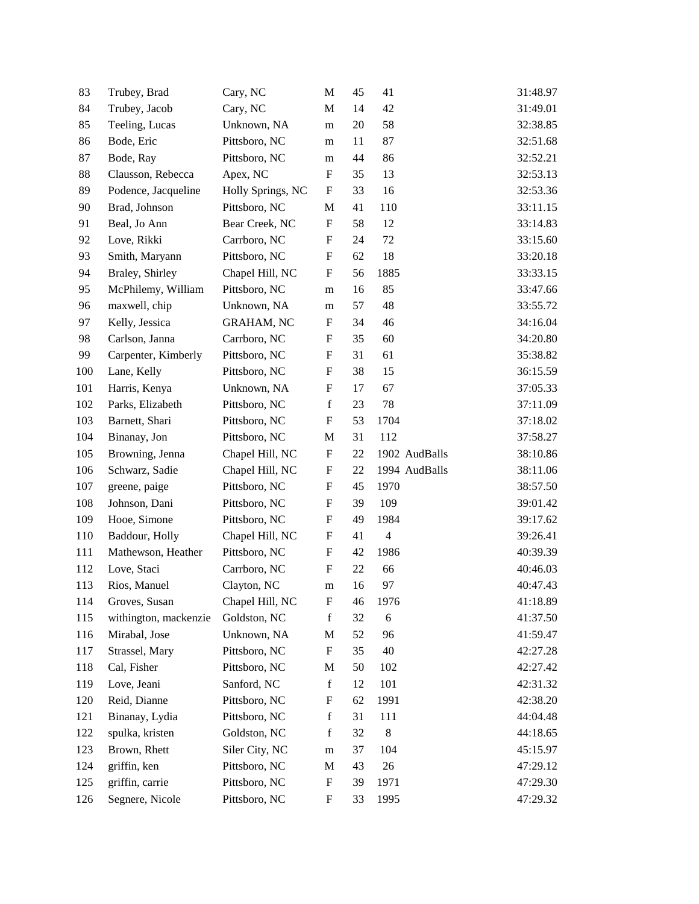| 83  | Trubey, Brad          | Cary, NC          | M                         | 45 | 41             | 31:48.97 |
|-----|-----------------------|-------------------|---------------------------|----|----------------|----------|
| 84  | Trubey, Jacob         | Cary, NC          | M                         | 14 | 42             | 31:49.01 |
| 85  | Teeling, Lucas        | Unknown, NA       | m                         | 20 | 58             | 32:38.85 |
| 86  | Bode, Eric            | Pittsboro, NC     | m                         | 11 | 87             | 32:51.68 |
| 87  | Bode, Ray             | Pittsboro, NC     | m                         | 44 | 86             | 32:52.21 |
| 88  | Clausson, Rebecca     | Apex, NC          | $\boldsymbol{\mathrm{F}}$ | 35 | 13             | 32:53.13 |
| 89  | Podence, Jacqueline   | Holly Springs, NC | F                         | 33 | 16             | 32:53.36 |
| 90  | Brad, Johnson         | Pittsboro, NC     | M                         | 41 | 110            | 33:11.15 |
| 91  | Beal, Jo Ann          | Bear Creek, NC    | $\boldsymbol{F}$          | 58 | 12             | 33:14.83 |
| 92  | Love, Rikki           | Carrboro, NC      | F                         | 24 | 72             | 33:15.60 |
| 93  | Smith, Maryann        | Pittsboro, NC     | $\boldsymbol{\mathrm{F}}$ | 62 | 18             | 33:20.18 |
| 94  | Braley, Shirley       | Chapel Hill, NC   | F                         | 56 | 1885           | 33:33.15 |
| 95  | McPhilemy, William    | Pittsboro, NC     | m                         | 16 | 85             | 33:47.66 |
| 96  | maxwell, chip         | Unknown, NA       | m                         | 57 | 48             | 33:55.72 |
| 97  | Kelly, Jessica        | <b>GRAHAM, NC</b> | F                         | 34 | 46             | 34:16.04 |
| 98  | Carlson, Janna        | Carrboro, NC      | F                         | 35 | 60             | 34:20.80 |
| 99  | Carpenter, Kimberly   | Pittsboro, NC     | F                         | 31 | 61             | 35:38.82 |
| 100 | Lane, Kelly           | Pittsboro, NC     | $\boldsymbol{\mathrm{F}}$ | 38 | 15             | 36:15.59 |
| 101 | Harris, Kenya         | Unknown, NA       | F                         | 17 | 67             | 37:05.33 |
| 102 | Parks, Elizabeth      | Pittsboro, NC     | $\mathbf f$               | 23 | 78             | 37:11.09 |
| 103 | Barnett, Shari        | Pittsboro, NC     | $\boldsymbol{\mathrm{F}}$ | 53 | 1704           | 37:18.02 |
| 104 | Binanay, Jon          | Pittsboro, NC     | M                         | 31 | 112            | 37:58.27 |
| 105 | Browning, Jenna       | Chapel Hill, NC   | $\boldsymbol{\mathrm{F}}$ | 22 | 1902 AudBalls  | 38:10.86 |
| 106 | Schwarz, Sadie        | Chapel Hill, NC   | F                         | 22 | 1994 AudBalls  | 38:11.06 |
| 107 | greene, paige         | Pittsboro, NC     | F                         | 45 | 1970           | 38:57.50 |
| 108 | Johnson, Dani         | Pittsboro, NC     | $\boldsymbol{\mathrm{F}}$ | 39 | 109            | 39:01.42 |
| 109 | Hooe, Simone          | Pittsboro, NC     | F                         | 49 | 1984           | 39:17.62 |
| 110 | Baddour, Holly        | Chapel Hill, NC   | F                         | 41 | $\overline{4}$ | 39:26.41 |
| 111 | Mathewson, Heather    | Pittsboro, NC     | F                         | 42 | 1986           | 40:39.39 |
| 112 | Love, Staci           | Carrboro, NC      | F                         | 22 | 66             | 40:46.03 |
| 113 | Rios, Manuel          | Clayton, NC       | m                         | 16 | 97             | 40:47.43 |
| 114 | Groves, Susan         | Chapel Hill, NC   | F                         | 46 | 1976           | 41:18.89 |
| 115 | withington, mackenzie | Goldston, NC      | $\mathbf f$               | 32 | 6              | 41:37.50 |
| 116 | Mirabal, Jose         | Unknown, NA       | M                         | 52 | 96             | 41:59.47 |
| 117 | Strassel, Mary        | Pittsboro, NC     | $\boldsymbol{\mathrm{F}}$ | 35 | 40             | 42:27.28 |
| 118 | Cal, Fisher           | Pittsboro, NC     | M                         | 50 | 102            | 42:27.42 |
| 119 | Love, Jeani           | Sanford, NC       | $\mathbf f$               | 12 | 101            | 42:31.32 |
| 120 | Reid, Dianne          | Pittsboro, NC     | $\boldsymbol{\mathrm{F}}$ | 62 | 1991           | 42:38.20 |
| 121 | Binanay, Lydia        | Pittsboro, NC     | $\mathbf f$               | 31 | 111            | 44:04.48 |
| 122 | spulka, kristen       | Goldston, NC      | $\mathbf f$               | 32 | 8              | 44:18.65 |
| 123 | Brown, Rhett          | Siler City, NC    | m                         | 37 | 104            | 45:15.97 |
| 124 | griffin, ken          | Pittsboro, NC     | M                         | 43 | 26             | 47:29.12 |
| 125 | griffin, carrie       | Pittsboro, NC     | $\boldsymbol{\mathrm{F}}$ | 39 | 1971           | 47:29.30 |
| 126 | Segnere, Nicole       | Pittsboro, NC     | $\boldsymbol{F}$          | 33 | 1995           | 47:29.32 |